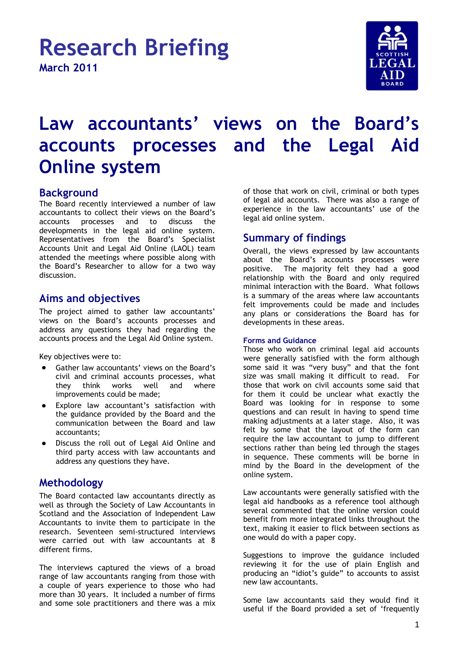

# **Law accountants' views on the Board's accounts processes and the Legal Aid Online system**

# **Background**

The Board recently interviewed a number of law accountants to collect their views on the Board's<br>accounts processes and to discuss the accounts processes and to discuss the developments in the legal aid online system. Representatives from the Board"s Specialist Accounts Unit and Legal Aid Online (LAOL) team attended the meetings where possible along with the Board"s Researcher to allow for a two way discussion.

# **Aims and objectives**

The project aimed to gather law accountants' views on the Board"s accounts processes and address any questions they had regarding the accounts process and the Legal Aid Online system.

Key objectives were to:

- Gather law accountants' views on the Board's civil and criminal accounts processes, what<br>they think works well and where they think works well and where improvements could be made;
- Explore law accountant"s satisfaction with the guidance provided by the Board and the communication between the Board and law accountants;
- Discuss the roll out of Legal Aid Online and third party access with law accountants and address any questions they have.

# **Methodology**

The Board contacted law accountants directly as well as through the Society of Law Accountants in Scotland and the Association of Independent Law Accountants to invite them to participate in the research. Seventeen semi-structured interviews were carried out with law accountants at 8 different firms.

The interviews captured the views of a broad range of law accountants ranging from those with a couple of years experience to those who had more than 30 years. It included a number of firms and some sole practitioners and there was a mix

of those that work on civil, criminal or both types of legal aid accounts. There was also a range of experience in the law accountants' use of the legal aid online system.

# **Summary of findings**

Overall, the views expressed by law accountants about the Board"s accounts processes were positive. The majority felt they had a good relationship with the Board and only required minimal interaction with the Board. What follows is a summary of the areas where law accountants felt improvements could be made and includes any plans or considerations the Board has for developments in these areas.

#### **Forms and Guidance**

Those who work on criminal legal aid accounts were generally satisfied with the form although some said it was "very busy" and that the font size was small making it difficult to read. For those that work on civil accounts some said that for them it could be unclear what exactly the Board was looking for in response to some questions and can result in having to spend time making adjustments at a later stage. Also, it was felt by some that the layout of the form can require the law accountant to jump to different sections rather than being led through the stages in sequence. These comments will be borne in mind by the Board in the development of the online system.

Law accountants were generally satisfied with the legal aid handbooks as a reference tool although several commented that the online version could benefit from more integrated links throughout the text, making it easier to flick between sections as one would do with a paper copy.

Suggestions to improve the guidance included reviewing it for the use of plain English and producing an "idiot"s guide" to accounts to assist new law accountants.

Some law accountants said they would find it useful if the Board provided a set of "frequently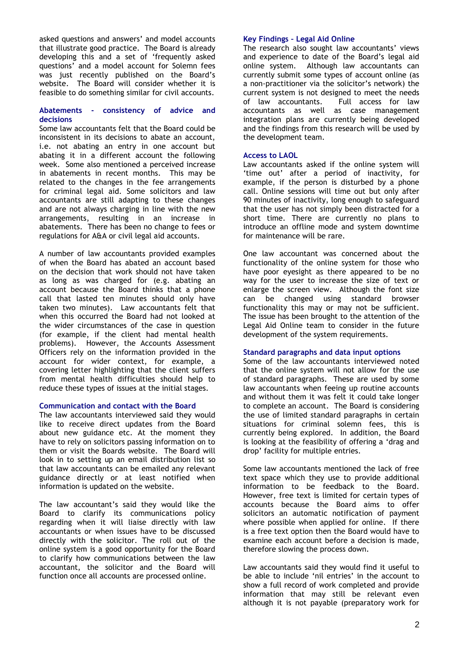asked questions and answers' and model accounts that illustrate good practice. The Board is already developing this and a set of "frequently asked questions" and a model account for Solemn fees was just recently published on the Board"s website. The Board will consider whether it is feasible to do something similar for civil accounts.

#### **Abatements - consistency of advice and decisions**

Some law accountants felt that the Board could be inconsistent in its decisions to abate an account, i.e. not abating an entry in one account but abating it in a different account the following week. Some also mentioned a perceived increase in abatements in recent months. This may be related to the changes in the fee arrangements for criminal legal aid. Some solicitors and law accountants are still adapting to these changes and are not always charging in line with the new arrangements, resulting in an increase in abatements. There has been no change to fees or regulations for A&A or civil legal aid accounts.

A number of law accountants provided examples of when the Board has abated an account based on the decision that work should not have taken as long as was charged for (e.g. abating an account because the Board thinks that a phone call that lasted ten minutes should only have taken two minutes). Law accountants felt that when this occurred the Board had not looked at the wider circumstances of the case in question (for example, if the client had mental health problems). However, the Accounts Assessment Officers rely on the information provided in the account for wider context, for example, a covering letter highlighting that the client suffers from mental health difficulties should help to reduce these types of issues at the initial stages.

#### **Communication and contact with the Board**

The law accountants interviewed said they would like to receive direct updates from the Board about new guidance etc. At the moment they have to rely on solicitors passing information on to them or visit the Boards website. The Board will look in to setting up an email distribution list so that law accountants can be emailed any relevant guidance directly or at least notified when information is updated on the website.

The law accountant's said they would like the Board to clarify its communications policy regarding when it will liaise directly with law accountants or when issues have to be discussed directly with the solicitor. The roll out of the online system is a good opportunity for the Board to clarify how communications between the law accountant, the solicitor and the Board will function once all accounts are processed online.

#### **Key Findings – Legal Aid Online**

The research also sought law accountants' views and experience to date of the Board"s legal aid online system. Although law accountants can currently submit some types of account online (as a non-practitioner via the solicitor"s network) the current system is not designed to meet the needs of law accountants. Full access for law accountants as well as case management integration plans are currently being developed and the findings from this research will be used by the development team.

#### **Access to LAOL**

Law accountants asked if the online system will 'time out' after a period of inactivity, for example, if the person is disturbed by a phone call. Online sessions will time out but only after 90 minutes of inactivity, long enough to safeguard that the user has not simply been distracted for a short time. There are currently no plans to introduce an offline mode and system downtime for maintenance will be rare.

One law accountant was concerned about the functionality of the online system for those who have poor eyesight as there appeared to be no way for the user to increase the size of text or enlarge the screen view. Although the font size can be changed using standard browser functionality this may or may not be sufficient. The issue has been brought to the attention of the Legal Aid Online team to consider in the future development of the system requirements.

#### **Standard paragraphs and data input options**

Some of the law accountants interviewed noted that the online system will not allow for the use of standard paragraphs. These are used by some law accountants when feeing up routine accounts and without them it was felt it could take longer to complete an account. The Board is considering the use of limited standard paragraphs in certain situations for criminal solemn fees, this is currently being explored. In addition, the Board is looking at the feasibility of offering a "drag and drop" facility for multiple entries.

Some law accountants mentioned the lack of free text space which they use to provide additional information to be feedback to the Board. However, free text is limited for certain types of accounts because the Board aims to offer solicitors an automatic notification of payment where possible when applied for online. If there is a free text option then the Board would have to examine each account before a decision is made, therefore slowing the process down.

Law accountants said they would find it useful to be able to include 'nil entries' in the account to show a full record of work completed and provide information that may still be relevant even although it is not payable (preparatory work for